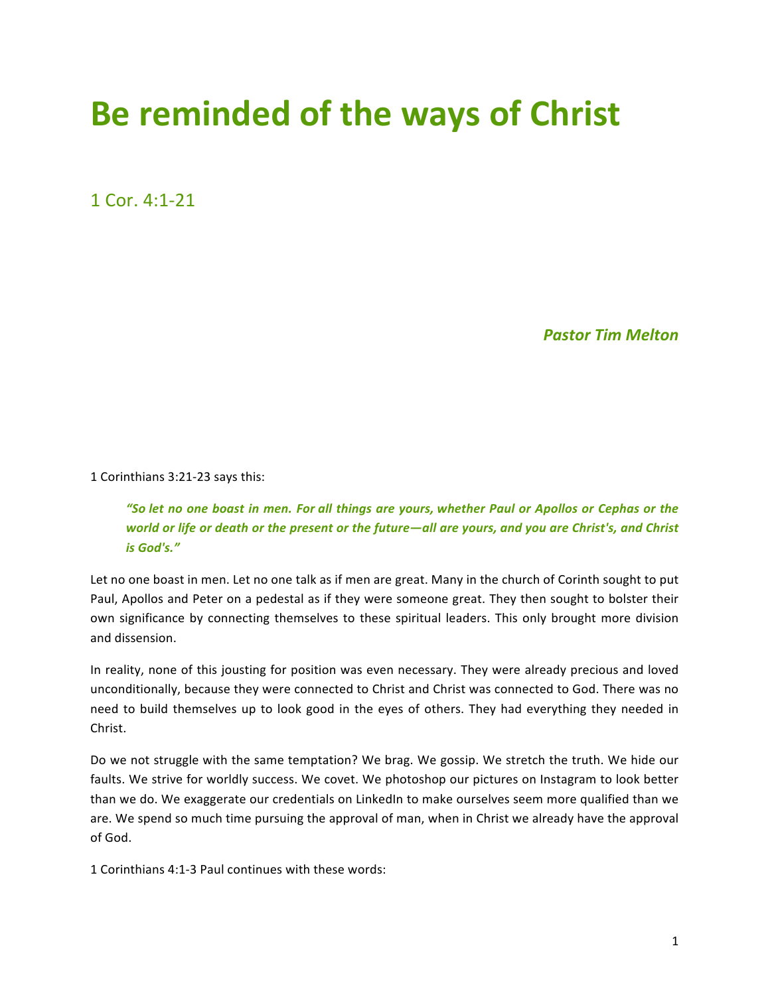## **Be reminded of the ways of Christ**

1 Cor. 4:1-21

*Pastor Tim Melton*

1 Corinthians 3:21-23 says this:

*"So let no one boast in men. For all things are yours, whether Paul or Apollos or Cephas or the world* or life or death or the present or the future—all are yours, and you are Christ's, and Christ *is God's."*

Let no one boast in men. Let no one talk as if men are great. Many in the church of Corinth sought to put Paul, Apollos and Peter on a pedestal as if they were someone great. They then sought to bolster their own significance by connecting themselves to these spiritual leaders. This only brought more division and dissension.

In reality, none of this jousting for position was even necessary. They were already precious and loved unconditionally, because they were connected to Christ and Christ was connected to God. There was no need to build themselves up to look good in the eyes of others. They had everything they needed in Christ.

Do we not struggle with the same temptation? We brag. We gossip. We stretch the truth. We hide our faults. We strive for worldly success. We covet. We photoshop our pictures on Instagram to look better than we do. We exaggerate our credentials on LinkedIn to make ourselves seem more qualified than we are. We spend so much time pursuing the approval of man, when in Christ we already have the approval of God.

1 Corinthians 4:1-3 Paul continues with these words: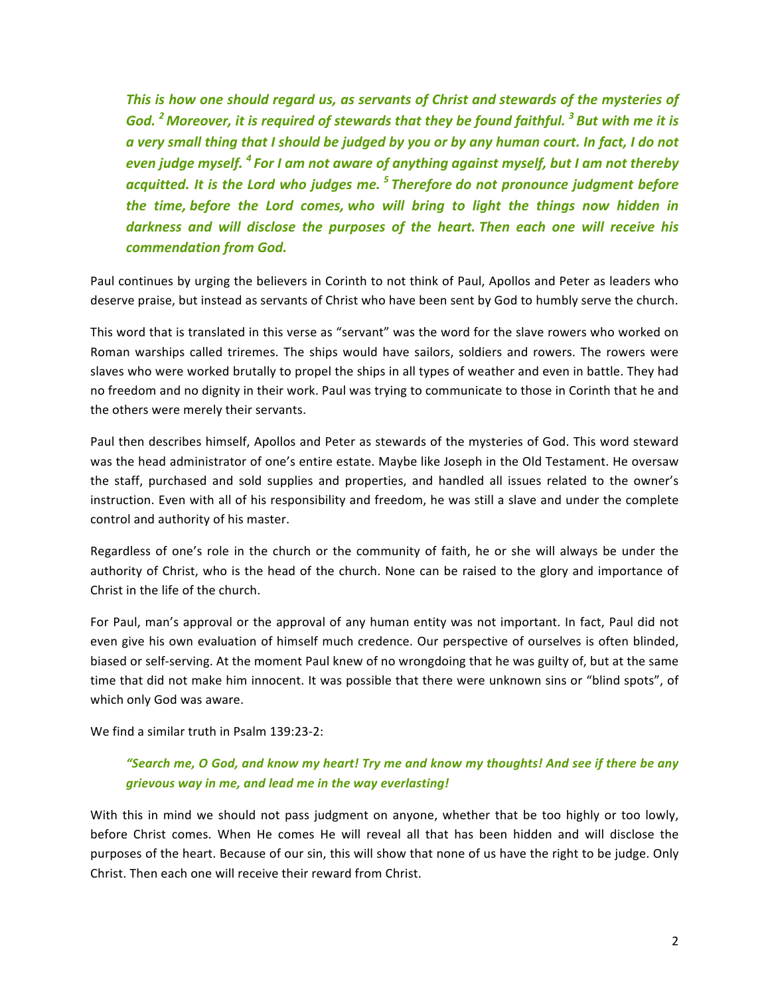This is how one should regard us, as servants of Christ and stewards of the mysteries of *God.* <sup>2</sup> Moreover, it is required of stewards that they be found faithful. <sup>3</sup> But with me it is *a* very small thing that I should be judged by you or by any human court. In fact, I do not *even judge myself.* <sup>4</sup> For I am not aware of anything against myself, but I am not thereby acquitted. It is the Lord who judges me.<sup>5</sup> Therefore do not pronounce judgment before *the time, before the Lord comes, who will bring to light the things now hidden in* darkness and will disclose the purposes of the heart. Then each one will receive his *commendation from God.*

Paul continues by urging the believers in Corinth to not think of Paul, Apollos and Peter as leaders who deserve praise, but instead as servants of Christ who have been sent by God to humbly serve the church.

This word that is translated in this verse as "servant" was the word for the slave rowers who worked on Roman warships called triremes. The ships would have sailors, soldiers and rowers. The rowers were slaves who were worked brutally to propel the ships in all types of weather and even in battle. They had no freedom and no dignity in their work. Paul was trying to communicate to those in Corinth that he and the others were merely their servants.

Paul then describes himself, Apollos and Peter as stewards of the mysteries of God. This word steward was the head administrator of one's entire estate. Maybe like Joseph in the Old Testament. He oversaw the staff, purchased and sold supplies and properties, and handled all issues related to the owner's instruction. Even with all of his responsibility and freedom, he was still a slave and under the complete control and authority of his master.

Regardless of one's role in the church or the community of faith, he or she will always be under the authority of Christ, who is the head of the church. None can be raised to the glory and importance of Christ in the life of the church.

For Paul, man's approval or the approval of any human entity was not important. In fact, Paul did not even give his own evaluation of himself much credence. Our perspective of ourselves is often blinded, biased or self-serving. At the moment Paul knew of no wrongdoing that he was guilty of, but at the same time that did not make him innocent. It was possible that there were unknown sins or "blind spots", of which only God was aware.

We find a similar truth in Psalm 139:23-2:

## *"Search me, O God, and know my heart! Try me and know my thoughts! And see if there be any grievous way in me, and lead me in the way everlasting!*

With this in mind we should not pass judgment on anyone, whether that be too highly or too lowly, before Christ comes. When He comes He will reveal all that has been hidden and will disclose the purposes of the heart. Because of our sin, this will show that none of us have the right to be judge. Only Christ. Then each one will receive their reward from Christ.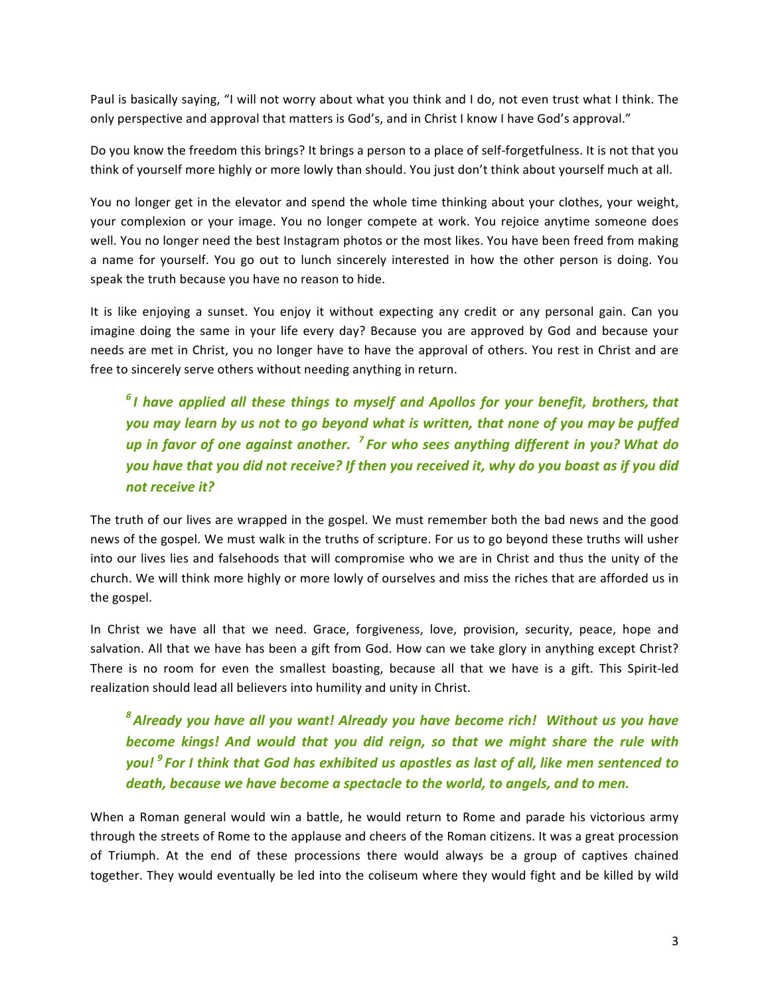Paul is basically saying, "I will not worry about what you think and I do, not even trust what I think. The only perspective and approval that matters is God's, and in Christ I know I have God's approval."

Do you know the freedom this brings? It brings a person to a place of self-forgetfulness. It is not that you think of yourself more highly or more lowly than should. You just don't think about yourself much at all.

You no longer get in the elevator and spend the whole time thinking about your clothes, your weight, your complexion or your image. You no longer compete at work. You rejoice anytime someone does well. You no longer need the best Instagram photos or the most likes. You have been freed from making a name for yourself. You go out to lunch sincerely interested in how the other person is doing. You speak the truth because you have no reason to hide.

It is like enjoying a sunset. You enjoy it without expecting any credit or any personal gain. Can you imagine doing the same in your life every day? Because you are approved by God and because your needs are met in Christ, you no longer have to have the approval of others. You rest in Christ and are free to sincerely serve others without needing anything in return.

<sup>6</sup> *I* have applied all these things to myself and Apollos for your benefit, brothers, that *you* may learn by us not to go beyond what is written, that none of you may be puffed *up* in favor of one against another. <sup>7</sup> For who sees anything different in you? What do you have that you did not receive? If then you received it, why do you boast as if you did *not receive it?*

The truth of our lives are wrapped in the gospel. We must remember both the bad news and the good news of the gospel. We must walk in the truths of scripture. For us to go beyond these truths will usher into our lives lies and falsehoods that will compromise who we are in Christ and thus the unity of the church. We will think more highly or more lowly of ourselves and miss the riches that are afforded us in the gospel.

In Christ we have all that we need. Grace, forgiveness, love, provision, security, peace, hope and salvation. All that we have has been a gift from God. How can we take glory in anything except Christ? There is no room for even the smallest boasting, because all that we have is a gift. This Spirit-led realization should lead all believers into humility and unity in Christ.

<sup>8</sup> Already you have all you want! Already you have become rich! Without us you have *become kings!* And would that you did reign, so that we might share the rule with *you!*<sup>9</sup> For I think that God has exhibited us apostles as last of all, like men sentenced to death, because we have become a spectacle to the world, to angels, and to men.

When a Roman general would win a battle, he would return to Rome and parade his victorious army through the streets of Rome to the applause and cheers of the Roman citizens. It was a great procession of Triumph. At the end of these processions there would always be a group of captives chained together. They would eventually be led into the coliseum where they would fight and be killed by wild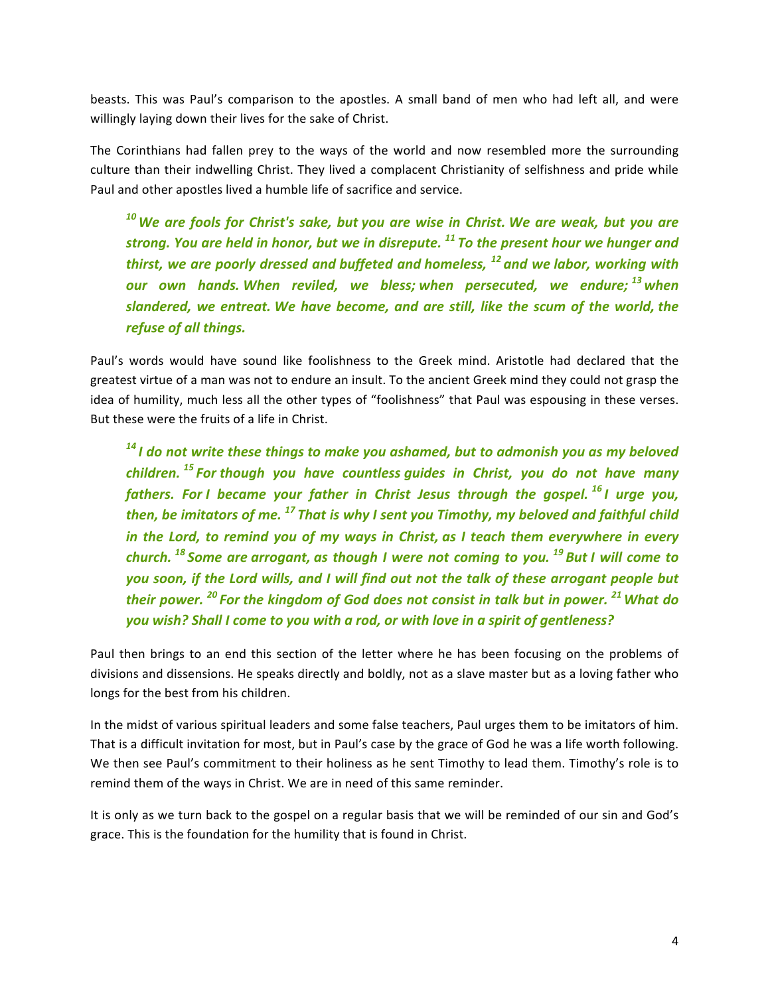beasts. This was Paul's comparison to the apostles. A small band of men who had left all, and were willingly laying down their lives for the sake of Christ.

The Corinthians had fallen prey to the ways of the world and now resembled more the surrounding culture than their indwelling Christ. They lived a complacent Christianity of selfishness and pride while Paul and other apostles lived a humble life of sacrifice and service.

<sup>10</sup> We are fools for Christ's sake, but you are wise in Christ. We are weak, but you are *strong. You are held in honor, but we in disrepute.* <sup>11</sup> To the present hour we hunger and *thirst, we are poorly dressed and buffeted and homeless, <sup>12</sup> and we labor, working with our own hands. When reviled, we bless; when persecuted, we endure; <sup>13</sup> when*  slandered, we entreat. We have become, and are still, like the scum of the world, the *refuse of all things.*

Paul's words would have sound like foolishness to the Greek mind. Aristotle had declared that the greatest virtue of a man was not to endure an insult. To the ancient Greek mind they could not grasp the idea of humility, much less all the other types of "foolishness" that Paul was espousing in these verses. But these were the fruits of a life in Christ.

<sup>14</sup> *I* do not write these things to make you ashamed, but to admonish you as my beloved *children. <sup>15</sup> For though you have countless guides in Christ, you do not have many fathers.* For *I* became your father in Christ Jesus through the gospel.<sup>16</sup> *I* urge you, *then, be imitators of me.* <sup>17</sup> *That is why I sent you Timothy, my beloved and faithful child in* the Lord, to remind you of my ways in Christ, as I teach them everywhere in every *church. <sup>18</sup> Some are arrogant, as though I were not coming to you. <sup>19</sup> But I will come to*  you soon, if the Lord wills, and I will find out not the talk of these arrogant people but *their power.* <sup>20</sup> For the kingdom of God does not consist in talk but in power. <sup>21</sup> What do you wish? Shall I come to you with a rod, or with love in a spirit of gentleness?

Paul then brings to an end this section of the letter where he has been focusing on the problems of divisions and dissensions. He speaks directly and boldly, not as a slave master but as a loving father who longs for the best from his children.

In the midst of various spiritual leaders and some false teachers, Paul urges them to be imitators of him. That is a difficult invitation for most, but in Paul's case by the grace of God he was a life worth following. We then see Paul's commitment to their holiness as he sent Timothy to lead them. Timothy's role is to remind them of the ways in Christ. We are in need of this same reminder.

It is only as we turn back to the gospel on a regular basis that we will be reminded of our sin and God's grace. This is the foundation for the humility that is found in Christ.